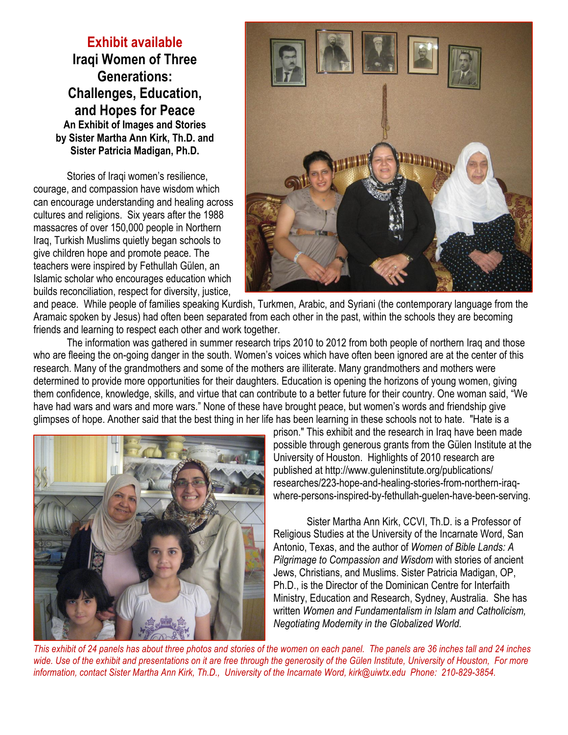**Exhibit available Iraqi Women of Three Generations: Challenges, Education, and Hopes for Peace An Exhibit of Images and Stories by Sister Martha Ann Kirk, Th.D. and Sister Patricia Madigan, Ph.D.** 

Stories of Iraqi women's resilience, courage, and compassion have wisdom which can encourage understanding and healing across cultures and religions. Six years after the 1988 massacres of over 150,000 people in Northern Iraq, Turkish Muslims quietly began schools to give children hope and promote peace. The teachers were inspired by Fethullah Gülen, an Islamic scholar who encourages education which builds reconciliation, respect for diversity, justice,



and peace. While people of families speaking Kurdish, Turkmen, Arabic, and Syriani (the contemporary language from the Aramaic spoken by Jesus) had often been separated from each other in the past, within the schools they are becoming friends and learning to respect each other and work together.

The information was gathered in summer research trips 2010 to 2012 from both people of northern Iraq and those who are fleeing the on-going danger in the south. Women's voices which have often been ignored are at the center of this research. Many of the grandmothers and some of the mothers are illiterate. Many grandmothers and mothers were determined to provide more opportunities for their daughters. Education is opening the horizons of young women, giving them confidence, knowledge, skills, and virtue that can contribute to a better future for their country. One woman said, "We have had wars and wars and more wars." None of these have brought peace, but women's words and friendship give glimpses of hope. Another said that the best thing in her life has been learning in these schools not to hate. "Hate is a



prison." This exhibit and the research in Iraq have been made possible through generous grants from the Gülen Institute at the University of Houston. Highlights of 2010 research are published at http://www.guleninstitute.org/publications/ researches/223-hope-and-healing-stories-from-northern-iraqwhere-persons-inspired-by-fethullah-guelen-have-been-serving.

Sister Martha Ann Kirk, CCVI, Th.D. is a Professor of Religious Studies at the University of the Incarnate Word, San Antonio, Texas, and the author of *Women of Bible Lands: A Pilgrimage to Compassion and Wisdom* with stories of ancient Jews, Christians, and Muslims. Sister Patricia Madigan, OP, Ph.D., is the Director of the Dominican Centre for Interfaith Ministry, Education and Research, Sydney, Australia. She has written *Women and Fundamentalism in Islam and Catholicism, Negotiating Modernity in the Globalized World.* 

*This exhibit of 24 panels has about three photos and stories of the women on each panel. The panels are 36 inches tall and 24 inches wide. Use of the exhibit and presentations on it are free through the generosity of the Gülen Institute, University of Houston, For more information, contact Sister Martha Ann Kirk, Th.D., University of the Incarnate Word, kirk@uiwtx.edu Phone: 210-829-3854.*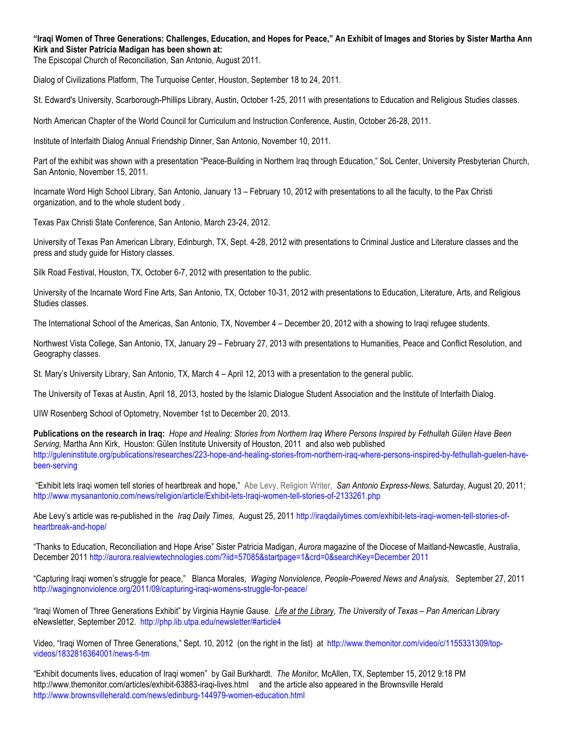#### **"Iraqi Women of Three Generations: Challenges, Education, and Hopes for Peace," An Exhibit of Images and Stories by Sister Martha Ann Kirk and Sister Patricia Madigan has been shown at:**

The Episcopal Church of Reconciliation, San Antonio, August 2011.

Dialog of Civilizations Platform, The Turquoise Center, Houston, September 18 to 24, 2011.

St. Edward's University, Scarborough-Phillips Library, Austin, October 1-25, 2011 with presentations to Education and Religious Studies classes.

North American Chapter of the World Council for Curriculum and Instruction Conference, Austin, October 26-28, 2011.

Institute of Interfaith Dialog Annual Friendship Dinner, San Antonio, November 10, 2011.

Part of the exhibit was shown with a presentation "Peace-Building in Northern Iraq through Education," SoL Center, University Presbyterian Church, San Antonio, November 15, 2011.

Incarnate Word High School Library, San Antonio, January 13 – February 10, 2012 with presentations to all the faculty, to the Pax Christi organization, and to the whole student body .

Texas Pax Christi State Conference, San Antonio, March 23-24, 2012.

University of Texas Pan American Library, Edinburgh, TX, Sept. 4-28, 2012 with presentations to Criminal Justice and Literature classes and the press and study guide for History classes.

Silk Road Festival, Houston, TX, October 6-7, 2012 with presentation to the public.

University of the Incarnate Word Fine Arts, San Antonio, TX, October 10-31, 2012 with presentations to Education, Literature, Arts, and Religious Studies classes.

The International School of the Americas, San Antonio, TX, November 4 – December 20, 2012 with a showing to Iraqi refugee students.

Northwest Vista College, San Antonio, TX, January 29 – February 27, 2013 with presentations to Humanities, Peace and Conflict Resolution, and Geography classes.

St. Mary's University Library, San Antonio, TX, March 4 – April 12, 2013 with a presentation to the general public.

The University of Texas at Austin, April 18, 2013, hosted by the Islamic Dialogue Student Association and the Institute of Interfaith Dialog.

UIW Rosenberg School of Optometry, November 1st to December 20, 2013.

**Publications on the research in Iraq:** *Hope and Healing: Stories from Northern Iraq Where Persons Inspired by Fethullah Gülen Have Been Serving,* Martha Ann Kirk, Houston: Gülen Institute University of Houston, 2011 and also web published http://guleninstitute.org/publications/researches/223-hope-and-healing-stories-from-northern-iraq-where-persons-inspired-by-fethullah-guelen-havebeen-serving

 "Exhibit lets Iraqi women tell stories of heartbreak and hope," Abe Levy, Religion Writer, *San Antonio Express-News*, Saturday, August 20, 2011; http://www.mysanantonio.com/news/religion/article/Exhibit-lets-Iraqi-women-tell-stories-of-2133261.php

Abe Levy's article was re-published in the *Iraq Daily Times,* August 25, 2011 http://iraqdailytimes.com/exhibit-lets-iraqi-women-tell-stories-ofheartbreak-and-hope/

"Thanks to Education, Reconciliation and Hope Arise" Sister Patricia Madigan, *Aurora* magazine of the Diocese of Maitland-Newcastle, Australia, December 2011 http://aurora.realviewtechnologies.com/?iid=57085&startpage=1&crd=0&searchKey=December 2011

"Capturing Iraqi women's struggle for peace,"Blanca Morales, *Waging Nonviolence, People-Powered News and Analysis,* September 27, 2011 http://wagingnonviolence.org/2011/09/capturing-iraqi-womens-struggle-for-peace/

"Iraqi Women of Three Generations Exhibit" by Virginia Haynie Gause*. Life at the Library, The University of Texas – Pan American Library* eNewsletter, September 2012. http://php.lib.utpa.edu/newsletter/#article4

Video, "Iraqi Women of Three Generations," Sept. 10, 2012 (on the right in the list) at http://www.themonitor.com/video/c/1155331309/topvideos/1832816364001/news-fi-tm

"Exhibit documents lives, education of Iraqi women" by Gail Burkhardt. *The Monitor,* McAllen, TX, September 15, 2012 9:18 PM http://www.themonitor.com/articles/exhibit-63883-iraqi-lives.html and the article also appeared in the Brownsville Herald http://www.brownsvilleherald.com/news/edinburg-144979-women-education.html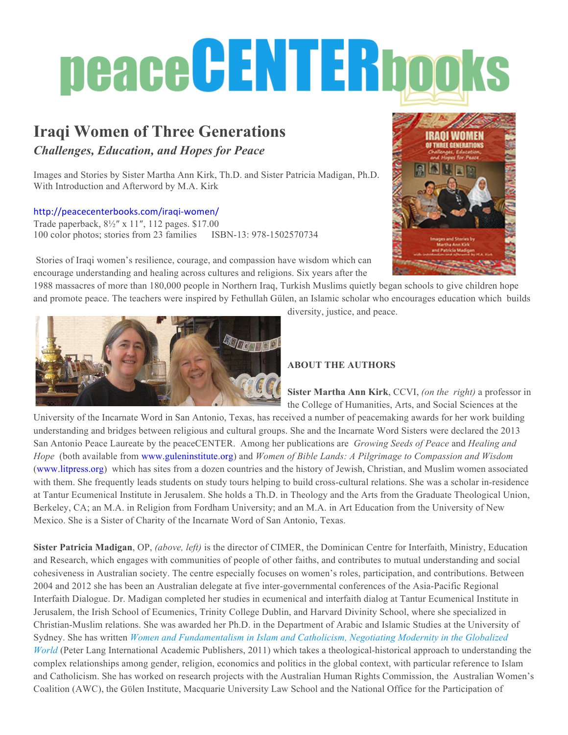# peace CENTERbooks

# **Iraqi Women of Three Generations**

*Challenges, Education, and Hopes for Peace*

Images and Stories by Sister Martha Ann Kirk, Th.D. and Sister Patricia Madigan, Ph.D. With Introduction and Afterword by M.A. Kirk

#### http://peacecenterbooks.com/iraqi-women/

Trade paperback, 8½″ x 11″, 112 pages. \$17.00 100 color photos; stories from 23 families ISBN-13: 978-1502570734



Stories of Iraqi women's resilience, courage, and compassion have wisdom which can encourage understanding and healing across cultures and religions. Six years after the

1988 massacres of more than 180,000 people in Northern Iraq, Turkish Muslims quietly began schools to give children hope and promote peace. The teachers were inspired by Fethullah Gülen, an Islamic scholar who encourages education which builds



diversity, justice, and peace.

## **ABOUT THE AUTHORS**

**Sister Martha Ann Kirk**, CCVI, *(on the right)* a professor in the College of Humanities, Arts, and Social Sciences at the

University of the Incarnate Word in San Antonio, Texas, has received a number of peacemaking awards for her work building understanding and bridges between religious and cultural groups. She and the Incarnate Word Sisters were declared the 2013 San Antonio Peace Laureate by the peaceCENTER. Among her publications are *Growing Seeds of Peace* and *Healing and Hope* (both available from www.guleninstitute.org) and *Women of Bible Lands: A Pilgrimage to Compassion and Wisdom* (www.litpress.org) which has sites from a dozen countries and the history of Jewish, Christian, and Muslim women associated with them. She frequently leads students on study tours helping to build cross-cultural relations. She was a scholar in-residence at Tantur Ecumenical Institute in Jerusalem. She holds a Th.D. in Theology and the Arts from the Graduate Theological Union, Berkeley, CA; an M.A. in Religion from Fordham University; and an M.A. in Art Education from the University of New Mexico. She is a Sister of Charity of the Incarnate Word of San Antonio, Texas.

**Sister Patricia Madigan**, OP, *(above, left)* is the director of CIMER, the Dominican Centre for Interfaith, Ministry, Education and Research, which engages with communities of people of other faiths, and contributes to mutual understanding and social cohesiveness in Australian society. The centre especially focuses on women's roles, participation, and contributions. Between 2004 and 2012 she has been an Australian delegate at five inter-governmental conferences of the Asia-Pacific Regional Interfaith Dialogue. Dr. Madigan completed her studies in ecumenical and interfaith dialog at Tantur Ecumenical Institute in Jerusalem, the Irish School of Ecumenics, Trinity College Dublin, and Harvard Divinity School, where she specialized in Christian-Muslim relations. She was awarded her Ph.D. in the Department of Arabic and Islamic Studies at the University of Sydney. She has written *Women and Fundamentalism in Islam and Catholicism, Negotiating Modernity in the Globalized World* (Peter Lang International Academic Publishers, 2011) which takes a theological-historical approach to understanding the complex relationships among gender, religion, economics and politics in the global context, with particular reference to Islam and Catholicism. She has worked on research projects with the Australian Human Rights Commission, the Australian Women's Coalition (AWC), the Gϋlen Institute, Macquarie University Law School and the National Office for the Participation of